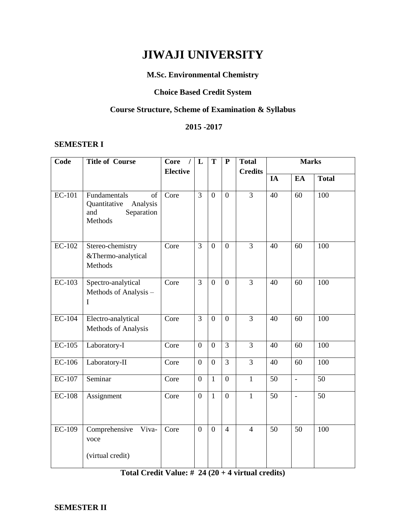# **JIWAJI UNIVERSITY**

# **M.Sc. Environmental Chemistry**

# **Choice Based Credit System**

# **Course Structure, Scheme of Examination & Syllabus**

# **2015 -2017**

# **SEMESTER I**

| Code          | <b>Title of Course</b><br><b>Core</b><br>$\prime$<br>L<br>$\mathbf T$<br><b>Elective</b> |      | ${\bf P}$      | <b>Total</b>     | <b>Marks</b>     |                |                 |                          |                 |
|---------------|------------------------------------------------------------------------------------------|------|----------------|------------------|------------------|----------------|-----------------|--------------------------|-----------------|
|               |                                                                                          |      |                |                  |                  | <b>Credits</b> | IA              | EA                       | <b>Total</b>    |
| $EC-101$      | Fundamentals<br>of<br>Analysis<br>Quantitative<br>Separation<br>and<br>Methods           | Core | $\overline{3}$ | $\overline{0}$   | $\overline{0}$   | $\overline{3}$ | 40              | 60                       | 100             |
| $EC-102$      | Stereo-chemistry<br>&Thermo-analytical<br>Methods                                        | Core | $\overline{3}$ | $\overline{0}$   | $\overline{0}$   | $\overline{3}$ | 40              | 60                       | 100             |
| EC-103        | Spectro-analytical<br>Methods of Analysis -<br>I                                         | Core | 3              | $\theta$         | $\overline{0}$   | $\overline{3}$ | 40              | 60                       | 100             |
| $EC-104$      | Electro-analytical<br>Methods of Analysis                                                | Core | $\overline{3}$ | $\overline{0}$   | $\overline{0}$   | $\overline{3}$ | 40              | 60                       | 100             |
| $EC-105$      | Laboratory-I                                                                             | Core | $\overline{0}$ | $\boldsymbol{0}$ | $\overline{3}$   | $\overline{3}$ | 40              | 60                       | 100             |
| <b>EC-106</b> | Laboratory-II                                                                            | Core | $\overline{0}$ | $\overline{0}$   | $\overline{3}$   | $\overline{3}$ | 40              | 60                       | 100             |
| <b>EC-107</b> | Seminar                                                                                  | Core | $\overline{0}$ | $\mathbf{1}$     | $\boldsymbol{0}$ | $\mathbf{1}$   | 50              | $\overline{\phantom{a}}$ | 50              |
| $EC-108$      | Assignment                                                                               | Core | $\overline{0}$ | $\mathbf{1}$     | $\overline{0}$   | $\mathbf{1}$   | $\overline{50}$ | $\overline{\phantom{a}}$ | $\overline{50}$ |
| EC-109        | Comprehensive<br>Viva-<br>voce<br>(virtual credit)                                       | Core | $\overline{0}$ | $\overline{0}$   | $\overline{4}$   | $\overline{4}$ | 50              | 50                       | 100             |

# **Total Credit Value: # 24 (20 + 4 virtual credits)**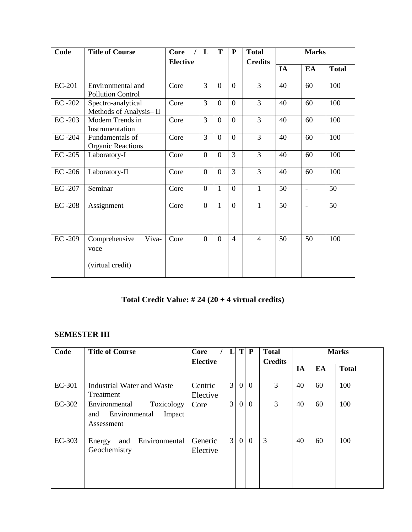| Code          | <b>Title of Course</b>                             | <b>Core</b><br>L<br>T<br>P |                | <b>Total</b>   |                          | <b>Marks</b>   |    |                |              |
|---------------|----------------------------------------------------|----------------------------|----------------|----------------|--------------------------|----------------|----|----------------|--------------|
|               |                                                    | <b>Elective</b>            |                |                |                          | <b>Credits</b> | IA | EA             | <b>Total</b> |
|               |                                                    |                            |                |                |                          |                |    |                |              |
| <b>EC-201</b> | Environmental and<br><b>Pollution Control</b>      | Core                       | 3              | $\Omega$       | $\theta$                 | 3              | 40 | 60             | 100          |
| $EC -202$     | Spectro-analytical<br>Methods of Analysis-II       | Core                       | 3              | $\Omega$       | $\Omega$                 | 3              | 40 | 60             | 100          |
| EC-203        | Modern Trends in<br>Instrumentation                | Core                       | 3              | $\overline{0}$ | $\theta$                 | 3              | 40 | 60             | 100          |
| $EC -204$     | Fundamentals of<br><b>Organic Reactions</b>        | Core                       | $\overline{3}$ | $\overline{0}$ | $\overline{0}$           | 3              | 40 | 60             | 100          |
| $EC -205$     | Laboratory-I                                       | Core                       | $\overline{0}$ | $\theta$       | 3                        | 3              | 40 | 60             | 100          |
| $EC -206$     | Laboratory-II                                      | Core                       | $\overline{0}$ | $\theta$       | 3                        | 3              | 40 | 60             | 100          |
| EC-207        | Seminar                                            | Core                       | $\theta$       | $\mathbf{1}$   | $\theta$                 | 1              | 50 | $\blacksquare$ | 50           |
| $EC -208$     | Assignment                                         | Core                       | $\overline{0}$ | $\mathbf{1}$   | $\Omega$                 | 1              | 50 | $\blacksquare$ | 50           |
| EC-209        | Comprehensive<br>Viva-<br>voce<br>(virtual credit) | Core                       | $\overline{0}$ | $\theta$       | $\overline{\mathcal{L}}$ | $\overline{4}$ | 50 | 50             | 100          |

# **Total Credit Value: # 24 (20 + 4 virtual credits)**

# **SEMESTER III**

| Code   | <b>Title of Course</b><br>L<br>T<br>Core<br><b>Elective</b>                 |                     | $\mathbf{P}$   | <b>Total</b><br><b>Credits</b> | <b>Marks</b> |   |    |    |              |
|--------|-----------------------------------------------------------------------------|---------------------|----------------|--------------------------------|--------------|---|----|----|--------------|
|        |                                                                             |                     |                |                                |              |   | IA | EA | <b>Total</b> |
| EC-301 | Industrial Water and Waste<br>Treatment                                     | Centric<br>Elective | $\mathfrak{Z}$ | 0 <sup>1</sup>                 | $\theta$     | 3 | 40 | 60 | 100          |
| EC-302 | Toxicology<br>Environmental<br>Environmental<br>Impact<br>and<br>Assessment | Core                | 3              | $\overline{0}$                 | $\theta$     | 3 | 40 | 60 | 100          |
| EC-303 | Environmental<br>and<br>Energy<br>Geochemistry                              | Generic<br>Elective | $\overline{3}$ | $\overline{0}$                 | $\theta$     | 3 | 40 | 60 | 100          |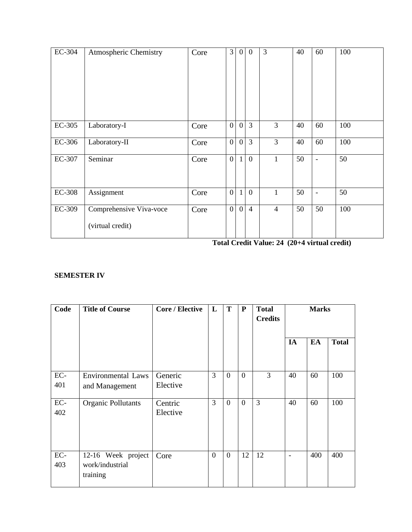| EC-304        | Atmospheric Chemistry                       | Core | $\mathfrak{Z}$   | $\overline{0}$ | $\mathbf{0}$   | 3              | 40 | 60                       | 100 |
|---------------|---------------------------------------------|------|------------------|----------------|----------------|----------------|----|--------------------------|-----|
|               |                                             |      |                  |                |                |                |    |                          |     |
| EC-305        | Laboratory-I                                | Core | $\overline{0}$   | $\overline{0}$ | $\overline{3}$ | 3              | 40 | 60                       | 100 |
| EC-306        | Laboratory-II                               | Core | $\overline{0}$   | $\overline{0}$ | $\overline{3}$ | $\overline{3}$ | 40 | 60                       | 100 |
| EC-307        | Seminar                                     | Core | $\boldsymbol{0}$ | $\mathbf{1}$   | $\mathbf{0}$   | $\mathbf{1}$   | 50 | $\overline{\phantom{a}}$ | 50  |
| <b>EC-308</b> | Assignment                                  | Core | $\mathbf{0}$     | $\mathbf{1}$   | $\mathbf{0}$   | $\mathbf{1}$   | 50 | $\overline{\phantom{a}}$ | 50  |
| EC-309        | Comprehensive Viva-voce<br>(virtual credit) | Core | $\overline{0}$   | $\overline{0}$ | $\overline{4}$ | $\overline{4}$ | 50 | 50                       | 100 |

**Total Credit Value: 24 (20+4 virtual credit)**

# **SEMESTER IV**

| Code       | <b>Title of Course</b>                            | <b>Core / Elective</b> | L              | T              | ${\bf P}$      | <b>Total</b><br><b>Credits</b> | <b>Marks</b>             |     |              |  |
|------------|---------------------------------------------------|------------------------|----------------|----------------|----------------|--------------------------------|--------------------------|-----|--------------|--|
|            |                                                   |                        |                |                |                |                                | IA                       | EA  | <b>Total</b> |  |
| EC-<br>401 | <b>Environmental Laws</b><br>and Management       | Generic<br>Elective    | 3              | $\theta$       | $\overline{0}$ | 3                              | 40                       | 60  | 100          |  |
| EC-<br>402 | Organic Pollutants                                | Centric<br>Elective    | 3              | $\overline{0}$ | $\theta$       | 3                              | 40                       | 60  | 100          |  |
| EC-<br>403 | 12-16 Week project<br>work/industrial<br>training | Core                   | $\overline{0}$ | $\overline{0}$ | 12             | 12                             | $\overline{\phantom{a}}$ | 400 | 400          |  |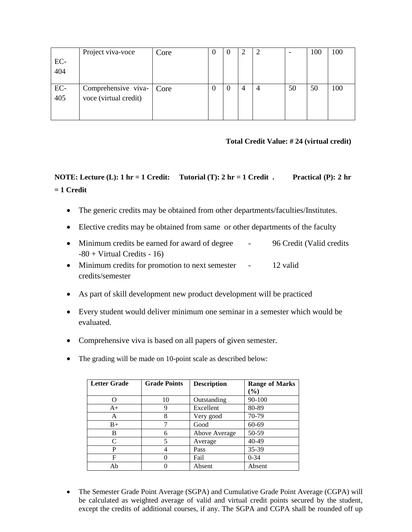|       | Project viva-voce        | Core | $\theta$ | $\theta$ |   | -  | 100 | 100 |
|-------|--------------------------|------|----------|----------|---|----|-----|-----|
| EC-   |                          |      |          |          |   |    |     |     |
| 404   |                          |      |          |          |   |    |     |     |
|       |                          |      |          |          |   |    |     |     |
| $EC-$ | Comprehensive viva- Core |      | 0        | $\theta$ | 4 | 50 | 50  | 100 |
| 405   | voce (virtual credit)    |      |          |          |   |    |     |     |
|       |                          |      |          |          |   |    |     |     |
|       |                          |      |          |          |   |    |     |     |

# **Total Credit Value: # 24 (virtual credit)**

# **NOTE: Lecture (L): 1 hr = 1 Credit: Tutorial (T): 2 hr = 1 Credit . Practical (P): 2 hr = 1 Credit**

- The generic credits may be obtained from other departments/faculties/Institutes.
- Elective credits may be obtained from same or other departments of the faculty
- Minimum credits be earned for award of degree 96 Credit (Valid credits  $-80 + \text{Virtual Credits} - 16$
- Minimum credits for promotion to next semester 12 valid credits/semester
- As part of skill development new product development will be practiced
- Every student would deliver minimum one seminar in a semester which would be evaluated.
- Comprehensive viva is based on all papers of given semester.
- The grading will be made on 10-point scale as described below:

| <b>Letter Grade</b> | <b>Grade Points</b> | <b>Description</b> | <b>Range of Marks</b> |
|---------------------|---------------------|--------------------|-----------------------|
|                     |                     |                    | (%)                   |
|                     | 10                  | Outstanding        | 90-100                |
| $A+$                | 9                   | Excellent          | 80-89                 |
| А                   | 8                   | Very good          | 70-79                 |
| $B+$                |                     | Good               | 60-69                 |
| B                   | 6                   | Above Average      | 50-59                 |
| C                   | 5                   | Average            | 40-49                 |
| P                   |                     | Pass               | 35-39                 |
| F                   |                     | Fail               | $0 - 34$              |
| Ab                  |                     | Absent             | Absent                |

• The Semester Grade Point Average (SGPA) and Cumulative Grade Point Average (CGPA) will be calculated as weighted average of valid and virtual credit points secured by the student, except the credits of additional courses, if any. The SGPA and CGPA shall be rounded off up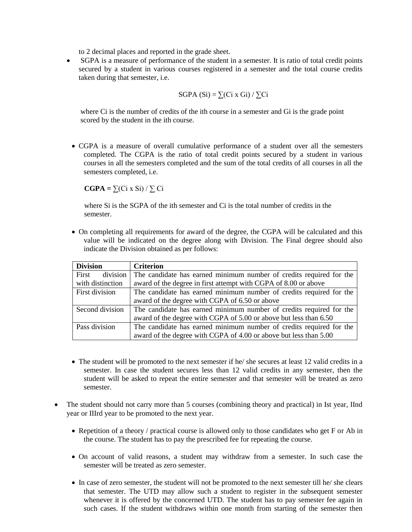to 2 decimal places and reported in the grade sheet.

 SGPA is a measure of performance of the student in a semester. It is ratio of total credit points secured by a student in various courses registered in a semester and the total course credits taken during that semester, i.e.

$$
SGPA(Si) = \sum (Ci \times Gi) / \sum Ci
$$

 where Ci is the number of credits of the ith course in a semester and Gi is the grade point scored by the student in the ith course.

 CGPA is a measure of overall cumulative performance of a student over all the semesters completed. The CGPA is the ratio of total credit points secured by a student in various courses in all the semesters completed and the sum of the total credits of all courses in all the semesters completed, i.e.

 $CGPA = \sum (Ci \times Si) / \sum Ci$ 

 where Si is the SGPA of the ith semester and Ci is the total number of credits in the semester.

 On completing all requirements for award of the degree, the CGPA will be calculated and this value will be indicated on the degree along with Division. The Final degree should also indicate the Division obtained as per follows:

| <b>Division</b>   | <b>Criterion</b>                                                    |
|-------------------|---------------------------------------------------------------------|
| division<br>First | The candidate has earned minimum number of credits required for the |
| with distinction  | award of the degree in first attempt with CGPA of 8.00 or above     |
| First division    | The candidate has earned minimum number of credits required for the |
|                   | award of the degree with CGPA of 6.50 or above                      |
| Second division   | The candidate has earned minimum number of credits required for the |
|                   | award of the degree with CGPA of 5.00 or above but less than 6.50   |
| Pass division     | The candidate has earned minimum number of credits required for the |
|                   | award of the degree with CGPA of 4.00 or above but less than 5.00   |

- The student will be promoted to the next semester if he/ she secures at least 12 valid credits in a semester. In case the student secures less than 12 valid credits in any semester, then the student will be asked to repeat the entire semester and that semester will be treated as zero semester.
- The student should not carry more than 5 courses (combining theory and practical) in Ist year, IInd year or IIIrd year to be promoted to the next year.
	- Repetition of a theory / practical course is allowed only to those candidates who get F or Ab in the course. The student has to pay the prescribed fee for repeating the course.
	- On account of valid reasons, a student may withdraw from a semester. In such case the semester will be treated as zero semester.
	- In case of zero semester, the student will not be promoted to the next semester till he/ she clears that semester. The UTD may allow such a student to register in the subsequent semester whenever it is offered by the concerned UTD. The student has to pay semester fee again in such cases. If the student withdraws within one month from starting of the semester then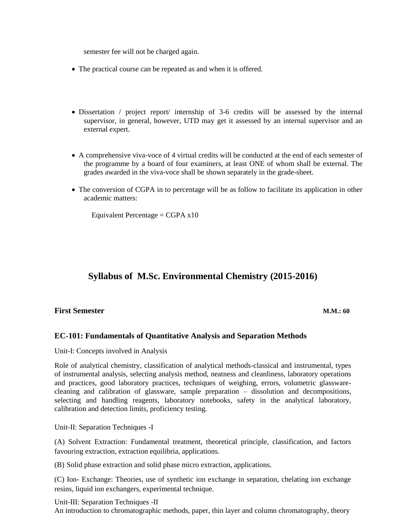semester fee will not be charged again.

- The practical course can be repeated as and when it is offered.
- Dissertation / project report/ internship of 3-6 credits will be assessed by the internal supervisor, in general, however, UTD may get it assessed by an internal supervisor and an external expert.
- A comprehensive viva-voce of 4 virtual credits will be conducted at the end of each semester of the programme by a board of four examiners, at least ONE of whom shall be external. The grades awarded in the viva-voce shall be shown separately in the grade-sheet.
- The conversion of CGPA in to percentage will be as follow to facilitate its application in other academic matters:

Equivalent Percentage =  $CGPA \times 10$ 

# **Syllabus of M.Sc. Environmental Chemistry (2015-2016)**

#### **First Semester M.M.: 60**

# **EC-101: Fundamentals of Quantitative Analysis and Separation Methods**

Unit-I: Concepts involved in Analysis

Role of analytical chemistry, classification of analytical methods-classical and instrumental, types of instrumental analysis, selecting analysis method, neatness and cleanliness, laboratory operations and practices, good laboratory practices, techniques of weighing, errors, volumetric glasswarecleaning and calibration of glassware, sample preparation – dissolution and decompositions, selecting and handling reagents, laboratory notebooks, safety in the analytical laboratory, calibration and detection limits, proficiency testing.

Unit-II: Separation Techniques -I

(A) Solvent Extraction: Fundamental treatment, theoretical principle, classification, and factors favouring extraction, extraction equilibria, applications.

(B) Solid phase extraction and solid phase micro extraction, applications.

(C) Ion- Exchange: Theories, use of synthetic ion exchange in separation, chelating ion exchange resins, liquid ion exchangers, experimental technique.

#### Unit-III: Separation Techniques -II

An introduction to chromatographic methods, paper, thin layer and column chromatography, theory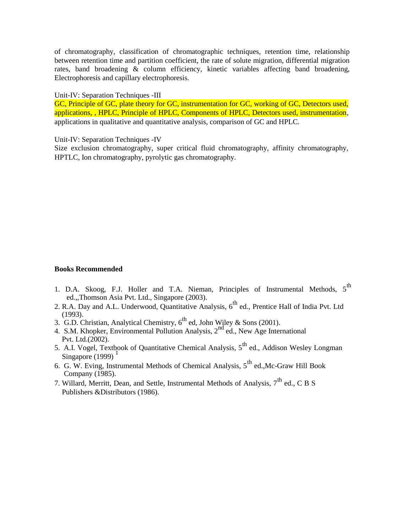of chromatography, classification of chromatographic techniques, retention time, relationship between retention time and partition coefficient, the rate of solute migration, differential migration rates, band broadening & column efficiency, kinetic variables affecting band broadening, Electrophoresis and capillary electrophoresis.

#### Unit-IV: Separation Techniques -III

GC, Principle of GC, plate theory for GC, instrumentation for GC, working of GC, Detectors used, applications, , HPLC, Principle of HPLC, Components of HPLC, Detectors used, instrumentation, applications in qualitative and quantitative analysis, comparison of GC and HPLC.

#### Unit-IV: Separation Techniques -IV

Size exclusion chromatography, super critical fluid chromatography, affinity chromatography, HPTLC, Ion chromatography, pyrolytic gas chromatography.

#### **Books Recommended**

- 1. D.A. Skoog, F.J. Holler and T.A. Nieman, Principles of Instrumental Methods, 5<sup>th</sup> ed.,,Thomson Asia Pvt. Ltd., Singapore (2003).
- 2. R.A. Day and A.L. Underwood, Quantitative Analysis, 6<sup>th</sup> ed., Prentice Hall of India Pvt. Ltd (1993).
- 3. G.D. Christian, Analytical Chemistry,  $6^{th}$  ed, John Wiley & Sons (2001).
- 4. S.M. Khopker, Environmental Pollution Analysis, 2<sup>nd</sup> ed., New Age International Pvt. Ltd.(2002).
- 5. A.I. Vogel, Textbook of Quantitative Chemical Analysis,  $5<sup>th</sup>$  ed., Addison Wesley Longman Singapore  $(1999)$ <sup>1</sup>
- 6. G. W. Eving, Instrumental Methods of Chemical Analysis,  $5<sup>th</sup>$  ed., Mc-Graw Hill Book Company (1985).
- 7. Willard, Merritt, Dean, and Settle, Instrumental Methods of Analysis,  $7<sup>th</sup>$  ed., C B S Publishers &Distributors (1986).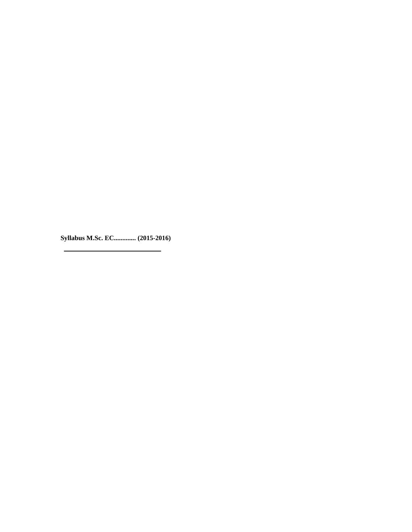**Syllabus M.Sc. EC............. (2015-2016)**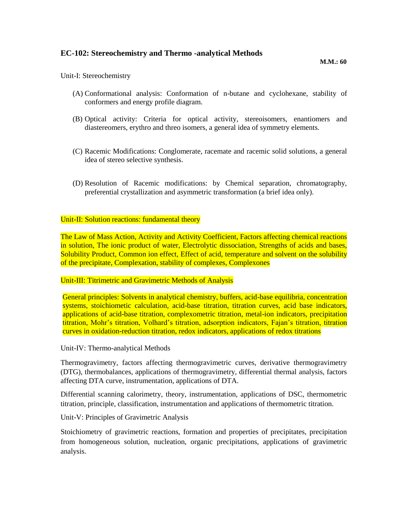# **EC-102: Stereochemistry and Thermo -analytical Methods**

#### Unit-I: Stereochemistry

- (A) Conformational analysis: Conformation of n-butane and cyclohexane, stability of conformers and energy profile diagram.
- (B) Optical activity: Criteria for optical activity, stereoisomers, enantiomers and diastereomers, erythro and threo isomers, a general idea of symmetry elements.
- (C) Racemic Modifications: Conglomerate, racemate and racemic solid solutions, a general idea of stereo selective synthesis.
- (D) Resolution of Racemic modifications: by Chemical separation, chromatography, preferential crystallization and asymmetric transformation (a brief idea only).

#### Unit-II: Solution reactions: fundamental theory

The Law of Mass Action, Activity and Activity Coefficient, Factors affecting chemical reactions in solution, The ionic product of water, Electrolytic dissociation, Strengths of acids and bases, Solubility Product, Common ion effect, Effect of acid, temperature and solvent on the solubility of the precipitate, Complexation, stability of complexes, Complexones

#### Unit-III: Titrimetric and Gravimetric Methods of Analysis

General principles: Solvents in analytical chemistry, buffers, acid-base equilibria, concentration systems, stoichiometic calculation, acid-base titration, titration curves, acid base indicators, applications of acid-base titration, complexometric titration, metal-ion indicators, precipitation titration, Mohr's titration, Volhard's titration, adsorption indicators, Fajan's titration, titration curves in oxidation-reduction titration, redox indicators, applications of redox titrations

#### Unit-IV: Thermo-analytical Methods

Thermogravimetry, factors affecting thermogravimetric curves, derivative thermogravimetry (DTG), thermobalances, applications of thermogravimetry, differential thermal analysis, factors affecting DTA curve, instrumentation, applications of DTA.

Differential scanning calorimetry, theory, instrumentation, applications of DSC, thermometric titration, principle, classification, instrumentation and applications of thermometric titration.

Unit-V: Principles of Gravimetric Analysis

Stoichiometry of gravimetric reactions, formation and properties of precipitates, precipitation from homogeneous solution, nucleation, organic precipitations, applications of gravimetric analysis.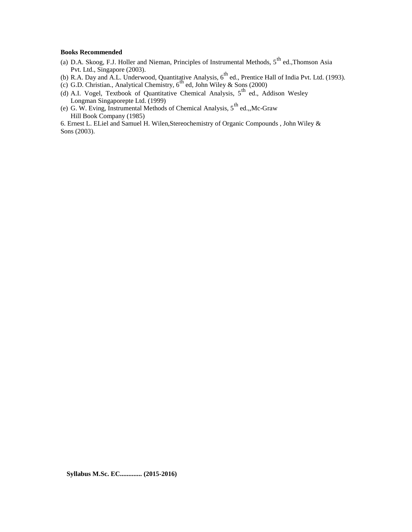#### **Books Recommended**

- (a) D.A. Skoog, F.J. Holler and Nieman, Principles of Instrumental Methods,  $5^{th}$  ed., Thomson Asia Pvt. Ltd., Singapore (2003).
- (b) R.A. Day and A.L. Underwood, Quantitative Analysis,  $6^{th}$  ed., Prentice Hall of India Pvt. Ltd. (1993).
- (c) G.D. Christian., Analytical Chemistry,  $6<sup>th</sup>$  ed, John Wiley & Sons (2000)
- (d) A.I. Vogel, Textbook of Quantitative Chemical Analysis,  $5<sup>th</sup>$  ed., Addison Wesley Longman Singaporepte Ltd. (1999)<br>
(e) G. W. Eving, Instrumental Methods of Chemical Analysis, 5<sup>th</sup> ed.,,Mc-Graw
- Hill Book Company (1985)

6. Ernest L. ELiel and Samuel H. Wilen,Stereochemistry of Organic Compounds , John Wiley & Sons (2003).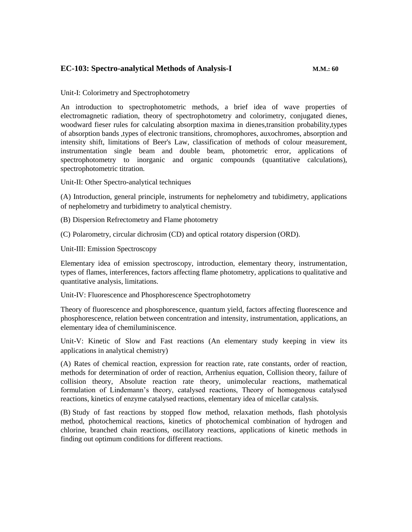# **EC-103: Spectro-analytical Methods of Analysis-I M.M.: 60**

Unit-I: Colorimetry and Spectrophotometry

An introduction to spectrophotometric methods, a brief idea of wave properties of electromagnetic radiation, theory of spectrophotometry and colorimetry, conjugated dienes, woodward fieser rules for calculating absorption maxima in dienes,transition probability,types of absorption bands ,types of electronic transitions, chromophores, auxochromes, absorption and intensity shift, limitations of Beer's Law, classification of methods of colour measurement, instrumentation single beam and double beam, photometric error, applications of spectrophotometry to inorganic and organic compounds (quantitative calculations), spectrophotometric titration.

Unit-II: Other Spectro-analytical techniques

(A) Introduction, general principle, instruments for nephelometry and tubidimetry, applications of nephelometry and turbidimetry to analytical chemistry.

(B) Dispersion Refrectometry and Flame photometry

(C) Polarometry, circular dichrosim (CD) and optical rotatory dispersion (ORD).

Unit-III: Emission Spectroscopy

Elementary idea of emission spectroscopy, introduction, elementary theory, instrumentation, types of flames, interferences, factors affecting flame photometry, applications to qualitative and quantitative analysis, limitations.

Unit-IV: Fluorescence and Phosphorescence Spectrophotometry

Theory of fluorescence and phosphorescence, quantum yield, factors affecting fluorescence and phosphorescence, relation between concentration and intensity, instrumentation, applications, an elementary idea of chemiluminiscence.

Unit-V: Kinetic of Slow and Fast reactions (An elementary study keeping in view its applications in analytical chemistry)

(A) Rates of chemical reaction, expression for reaction rate, rate constants, order of reaction, methods for determination of order of reaction, Arrhenius equation, Collision theory, failure of collision theory, Absolute reaction rate theory, unimolecular reactions, mathematical formulation of Lindemann's theory, catalysed reactions, Theory of homogenous catalysed reactions, kinetics of enzyme catalysed reactions, elementary idea of micellar catalysis.

(B) Study of fast reactions by stopped flow method, relaxation methods, flash photolysis method, photochemical reactions, kinetics of photochemical combination of hydrogen and chlorine, branched chain reactions, oscillatory reactions, applications of kinetic methods in finding out optimum conditions for different reactions.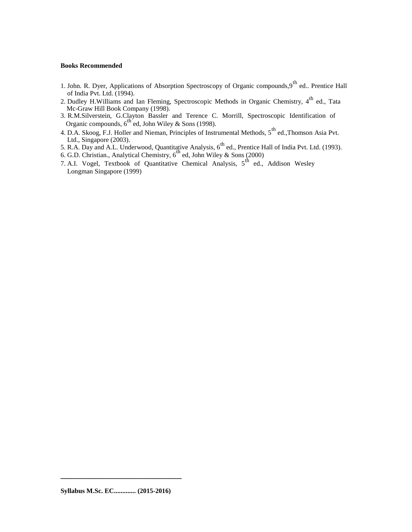#### **Books Recommended**

- 1. John. R. Dyer, Applications of Absorption Spectroscopy of Organic compounds, 9<sup>th</sup> ed.. Prentice Hall of India Pvt. Ltd. (1994).
- 2. Dudley H.Williams and Ian Fleming, Spectroscopic Methods in Organic Chemistry, 4<sup>th</sup> ed., Tata Mc-Graw Hill Book Company (1998).
- 3. R.M.Silverstein, G.Clayton Bassler and Terence C. Morrill, Spectroscopic Identification of Organic compounds,  $6^{th}$  ed, John Wiley & Sons (1998).
- 4. D.A. Skoog, F.J. Holler and Nieman, Principles of Instrumental Methods, 5<sup>th</sup> ed., Thomson Asia Pvt. Ltd., Singapore (2003).<br>5. R.A. Day and A.L. Underwood, Quantitative Analysis, 6<sup>th</sup> ed., Prentice Hall of India Pvt. Ltd. (1993).
- 
- 6. G.D. Christian., Analytical Chemistry,  $6<sup>th</sup>$  ed, John Wiley & Sons (2000)
- 7. A.I. Vogel, Textbook of Quantitative Chemical Analysis,  $5^{\text{th}}$  ed., Addison Wesley Longman Singapore (1999)

**\_\_\_\_\_\_\_\_\_\_\_\_\_\_\_\_\_\_\_\_\_\_\_\_\_\_\_\_\_\_**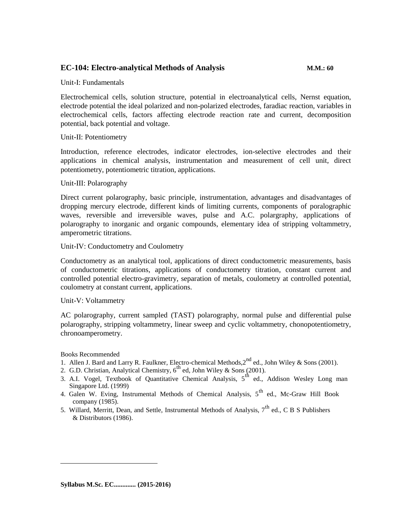# **EC-104: Electro-analytical Methods of Analysis M.M.: 60**

Unit-I: Fundamentals

Electrochemical cells, solution structure, potential in electroanalytical cells, Nernst equation, electrode potential the ideal polarized and non-polarized electrodes, faradiac reaction, variables in electrochemical cells, factors affecting electrode reaction rate and current, decomposition potential, back potential and voltage.

#### Unit-II: Potentiometry

Introduction, reference electrodes, indicator electrodes, ion-selective electrodes and their applications in chemical analysis, instrumentation and measurement of cell unit, direct potentiometry, potentiometric titration, applications.

#### Unit-III: Polarography

Direct current polarography, basic principle, instrumentation, advantages and disadvantages of dropping mercury electrode, different kinds of limiting currents, components of poralographic waves, reversible and irreversible waves, pulse and A.C. polargraphy, applications of polarography to inorganic and organic compounds, elementary idea of stripping voltammetry, amperometric titrations.

#### Unit-IV: Conductometry and Coulometry

Conductometry as an analytical tool, applications of direct conductometric measurements, basis of conductometric titrations, applications of conductometry titration, constant current and controlled potential electro-gravimetry, separation of metals, coulometry at controlled potential, coulometry at constant current, applications.

#### Unit-V: Voltammetry

AC polarography, current sampled (TAST) polarography, normal pulse and differential pulse polarography, stripping voltammetry, linear sweep and cyclic voltammetry, chonopotentiometry, chronoamperometry.

#### Books Recommended

- 1. Allen J. Bard and Larry R. Faulkner, Electro-chemical Methods,  $2^{nd}$  ed., John Wiley & Sons (2001).
- 2. G.D. Christian, Analytical Chemistry,  $6^{th}$  ed, John Wiley & Sons (2001).
- 3. A.I. Vogel, Textbook of Quantitative Chemical Analysis,  $5<sup>th</sup>$  ed., Addison Wesley Long man Singapore Ltd. (1999)
- 4. Galen W. Eving, Instrumental Methods of Chemical Analysis,  $5<sup>th</sup>$  ed., Mc-Graw Hill Book company (1985).
- 5. Willard, Merritt, Dean, and Settle, Instrumental Methods of Analysis,  $7<sup>th</sup>$  ed., C B S Publishers & Distributors (1986).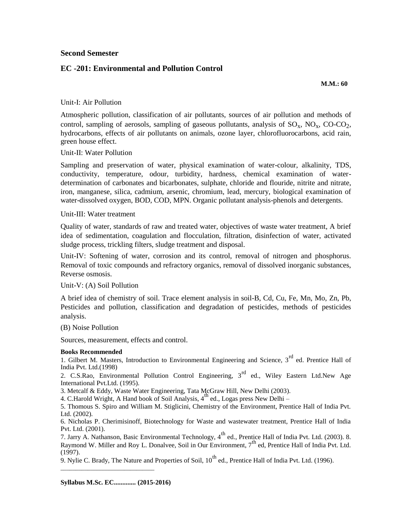#### **Second Semester**

### **EC -201: Environmental and Pollution Control**

**M.M.: 60**

#### Unit-I: Air Pollution

Atmospheric pollution, classification of air pollutants, sources of air pollution and methods of control, sampling of aerosols, sampling of gaseous pollutants, analysis of  $SO_x$ ,  $NO_x$ ,  $CO-CO_2$ , hydrocarbons, effects of air pollutants on animals, ozone layer, chlorofluorocarbons, acid rain, green house effect.

#### Unit-II: Water Pollution

Sampling and preservation of water, physical examination of water-colour, alkalinity, TDS, conductivity, temperature, odour, turbidity, hardness, chemical examination of waterdetermination of carbonates and bicarbonates, sulphate, chloride and flouride, nitrite and nitrate, iron, manganese, silica, cadmium, arsenic, chromium, lead, mercury, biological examination of water-dissolved oxygen, BOD, COD, MPN. Organic pollutant analysis-phenols and detergents.

#### Unit-III: Water treatment

Quality of water, standards of raw and treated water, objectives of waste water treatment, A brief idea of sedimentation, coagulation and flocculation, filtration, disinfection of water, activated sludge process, trickling filters, sludge treatment and disposal.

Unit-IV: Softening of water, corrosion and its control, removal of nitrogen and phosphorus. Removal of toxic compounds and refractory organics, removal of dissolved inorganic substances, Reverse osmosis.

### Unit-V: (A) Soil Pollution

A brief idea of chemistry of soil. Trace element analysis in soil-B, Cd, Cu, Fe, Mn, Mo, Zn, Pb, Pesticides and pollution, classification and degradation of pesticides, methods of pesticides analysis.

#### (B) Noise Pollution

Sources, measurement, effects and control.

#### **Books Recommended**

1. Gilbert M. Masters, Introduction to Environmental Engineering and Science,  $3<sup>rd</sup>$  ed. Prentice Hall of India Pvt. Ltd.(1998)

2. C.S.Rao, Environmental Pollution Control Engineering, 3<sup>rd</sup> ed., Wiley Eastern Ltd.New Age International Pvt.Ltd. (1995).

3. Metcalf & Eddy, Waste Water Engineering, Tata McGraw Hill, New Delhi (2003).

4. C.Harold Wright, A Hand book of Soil Analysis,  $4<sup>th</sup>$  ed., Logas press New Delhi –

5. Thomous S. Spiro and William M. Stiglicini, Chemistry of the Environment, Prentice Hall of India Pvt. Ltd. (2002).

6. Nicholas P. Cherimisinoff, Biotechnology for Waste and wastewater treatment, Prentice Hall of India Pvt. Ltd. (2001).

7. Jarry A. Nathanson, Basic Environmental Technology, 4<sup>th</sup> ed., Prentice Hall of India Pvt. Ltd. (2003). 8. Raymond W. Miller and Roy L. Donalvee, Soil in Our Environment,  $7<sup>th</sup>$  ed, Prentice Hall of India Pvt. Ltd. (1997).

9. Nylie C. Brady, The Nature and Properties of Soil,  $10^{th}$  ed., Prentice Hall of India Pvt. Ltd. (1996).

\_\_\_\_\_\_\_\_\_\_\_\_\_\_\_\_\_\_\_\_\_\_\_\_\_\_\_\_\_\_\_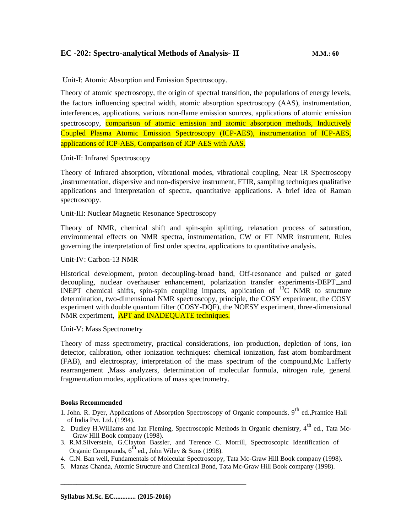# **EC -202: Spectro-analytical Methods of Analysis- II M.M.: 60**

Unit-I: Atomic Absorption and Emission Spectroscopy.

Theory of atomic spectroscopy, the origin of spectral transition, the populations of energy levels, the factors influencing spectral width, atomic absorption spectroscopy (AAS), instrumentation, interferences, applications, various non-flame emission sources, applications of atomic emission spectroscopy, comparison of atomic emission and atomic absorption methods, Inductively Coupled Plasma Atomic Emission Spectroscopy (ICP-AES), instrumentation of ICP-AES, applications of ICP-AES, Comparison of ICP-AES with AAS.

Unit-II: Infrared Spectroscopy

Theory of Infrared absorption, vibrational modes, vibrational coupling, Near IR Spectroscopy ,instrumentation, dispersive and non-dispersive instrument, FTIR, sampling techniques qualitative applications and interpretation of spectra, quantitative applications. A brief idea of Raman spectroscopy.

Unit-III: Nuclear Magnetic Resonance Spectroscopy

Theory of NMR, chemical shift and spin-spin splitting, relaxation process of saturation, environmental effects on NMR spectra, instrumentation, CW or FT NMR instrument, Rules governing the interpretation of first order spectra, applications to quantitative analysis.

Unit-IV: Carbon-13 NMR

Historical development, proton decoupling-broad band, Off-resonance and pulsed or gated decoupling, nuclear overhauser enhancement, polarization transfer experiments-DEPT and INEPT chemical shifts, spin-spin coupling impacts, application of  ${}^{13}C$  NMR to structure determination, two-dimensional NMR spectroscopy, principle, the COSY experiment, the COSY experiment with double quantum filter (COSY-DQF), the NOESY experiment, three-dimensional NMR experiment, **APT and INADEQUATE techniques.** 

Unit-V: Mass Spectrometry

Theory of mass spectrometry, practical considerations, ion production, depletion of ions, ion detector, calibration, other ionization techniques: chemical ionization, fast atom bombardment (FAB), and electrospray, interpretation of the mass spectrum of the compound,Mc Lafferty rearrangement ,Mass analyzers, determination of molecular formula, nitrogen rule, general fragmentation modes, applications of mass spectrometry.

#### **Books Recommended**

- 1. John. R. Dyer, Applications of Absorption Spectroscopy of Organic compounds,  $9^{th}$  ed., Prantice Hall of India Pvt. Ltd. (1994).
- 2. Dudley H.Williams and Ian Fleming, Spectroscopic Methods in Organic chemistry, 4<sup>th</sup> ed., Tata Mc-Graw Hill Book company (1998).
- 3. R.M.Silverstein, G.Clayton Bassler, and Terence C. Morrill, Spectroscopic Identification of Organic Compounds,  $6^{th}$  ed., John Wiley & Sons (1998).
- 4. C.N. Ban well, Fundamentals of Molecular Spectroscopy, Tata Mc-Graw Hill Book company (1998).
- 5. Manas Chanda, Atomic Structure and Chemical Bond, Tata Mc-Graw Hill Book company (1998).

**\_\_\_\_\_\_\_\_\_\_\_\_\_\_\_\_\_\_\_\_\_\_\_\_\_\_\_\_\_\_\_\_\_\_\_\_\_\_\_\_\_\_\_\_\_\_**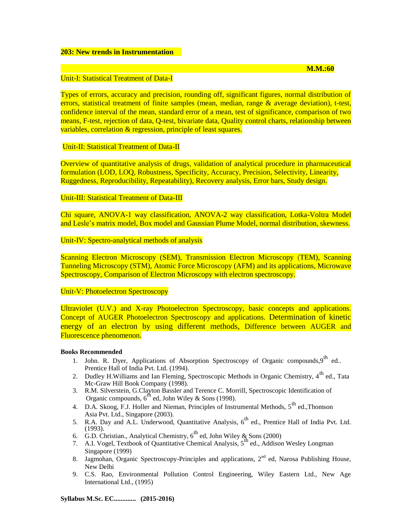#### **203: New trends in Instrumentation**

#### **M.M.:60**

#### Unit-I: Statistical Treatment of Data-I

Types of errors, accuracy and precision, rounding off, significant figures, normal distribution of errors, statistical treatment of finite samples (mean, median, range & average deviation), t-test, confidence interval of the mean, standard error of a mean, test of significance, comparison of two means, F-test, rejection of data, Q-test, bivariate data, Quality control charts, relationship between variables, correlation & regression, principle of least squares.

#### Unit-II: Statistical Treatment of Data-II

Overview of quantitative analysis of drugs, validation of analytical procedure in pharmaceutical formulation (LOD, LOQ, Robustness, Specificity, Accuracy, Precision, Selectivity, Linearity, Ruggedness, Reproducibility, Repeatability), Recovery analysis, Error bars, Study design.

#### Unit-III: Statistical Treatment of Data-III

Chi square, ANOVA-1 way classification, ANOVA-2 way classification, Lotka-Voltra Model and Lesle's matrix model, Box model and Gaussian Plume Model, normal distribution, skewness.

### Unit-IV: Spectro-analytical methods of analysis

Scanning Electron Microscopy (SEM), Transmission Electron Microscopy (TEM), Scanning Tunneling Microscopy (STM), Atomic Force Microscopy (AFM) and its applications, Microwave Spectroscopy, Comparison of Electron Microscopy with electron spectroscopy.

#### Unit-V: Photoelectron Spectroscopy

Ultraviolet (U.V.) and X-ray Photoelectron Spectroscopy, basic concepts and applications. Concept of AUGER Photoelectron Spectroscopy and applications. Determination of kinetic energy of an electron by using different methods, Difference between AUGER and Fluorescence phenomenon.

#### **Books Recommended**

- 1. John. R. Dyer, Applications of Absorption Spectroscopy of Organic compounds,  $9^{th}$  ed.. Prentice Hall of India Pvt. Ltd. (1994).
- 2. Dudley H.Williams and Ian Fleming, Spectroscopic Methods in Organic Chemistry, 4<sup>th</sup> ed., Tata Mc-Graw Hill Book Company (1998).
- 3. R.M. Silverstein, G.Clayton Bassler and Terence C. Morrill, Spectroscopic Identification of Organic compounds,  $6<sup>th</sup>$  ed, John Wiley & Sons (1998).
	- 4. D.A. Skoog, F.J. Holler and Nieman, Principles of Instrumental Methods, 5<sup>th</sup> ed.,Thomson Asia Pvt. Ltd., Singapore (2003).
	- 5. R.A. Day and A.L. Underwood, Quantitative Analysis,  $6<sup>th</sup>$  ed., Prentice Hall of India Pvt. Ltd. (1993).
	- 6. G.D. Christian., Analytical Chemistry,  $6^{th}$  ed, John Wiley & Sons (2000)
	- 7. A.I. Vogel, Textbook of Quantitative Chemical Analysis,  $5<sup>th</sup>$  ed., Addison Wesley Longman Singapore (1999)
	- 8. Jagmohan, Organic Spectroscopy-Principles and applications, 2<sup>nd</sup> ed, Narosa Publishing House, New Delhi
	- 9. C.S. Rao, Environmental Pollution Control Engineering, Wiley Eastern Ltd., New Age International Ltd., (1995)

**Syllabus M.Sc. EC............. (2015-2016)**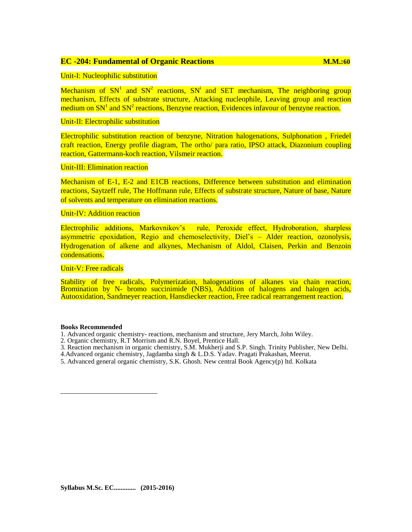#### **EC -204: Fundamental of Organic Reactions M.M.:60**

Mechanism of  $SN<sup>1</sup>$  and  $SN<sup>2</sup>$  reactions,  $SN<sup>i</sup>$  and SET mechanism, The neighboring group mechanism, Effects of substrate structure, Attacking nucleophile, Leaving group and reaction medium on  $SN<sup>1</sup>$  and  $SN<sup>2</sup>$  reactions, Benzyne reaction, Evidences infavour of benzyne reaction.

#### Unit-II: Electrophilic substitution

Electrophilic substitution reaction of benzyne, Nitration halogenations, Sulphonation , Friedel craft reaction, Energy profile diagram, The ortho/ para ratio, IPSO attack, Diazonium coupling reaction, Gattermann-koch reaction, Vilsmeir reaction.

#### Unit-III: Elimination reaction

Mechanism of E-1, E-2 and E1CB reactions, Difference between substitution and elimination reactions, Saytzeff rule, The Hoffmann rule, Effects of substrate structure, Nature of base, Nature of solvents and temperature on elimination reactions.

#### Unit-IV: Addition reaction

Electrophilic additions, Markovnikov's rule, Peroxide effect, Hydroboration, sharpless asymmetric epoxidation, Regio and chemoselectivity, Diel's – Alder reaction, ozonolysis, Hydrogenation of alkene and alkynes, Mechanism of Aldol, Claisen, Perkin and Benzoin condensations.

Unit-V: Free radicals

Stability of free radicals, Polymerization, halogenations of alkanes via chain reaction, Bromination by N- bromo succinimide (NBS), Addition of halogens and halogen acids, Autooxidation, Sandmeyer reaction, Hansdiecker reaction, Free radical rearrangement reaction.

#### **Books Recommended**

- 1. Advanced organic chemistry- reactions, mechanism and structure, Jery March, John Wiley.
- 2. Organic chemistry, R.T Morrism and R.N. Boyel, Prentice Hall.
- 3. Reaction mechanism in organic chemistry, S.M. Mukherji and S.P. Singh. Trinity Publisher, New Delhi.
- 4. Advanced organic chemistry, Jagdamba singh & L.D.S. Yadav. Pragati Prakashan, Meerut.
- 5. Advanced general organic chemistry, S.K. Ghosh. New central Book Agency(p) ltd. Kolkata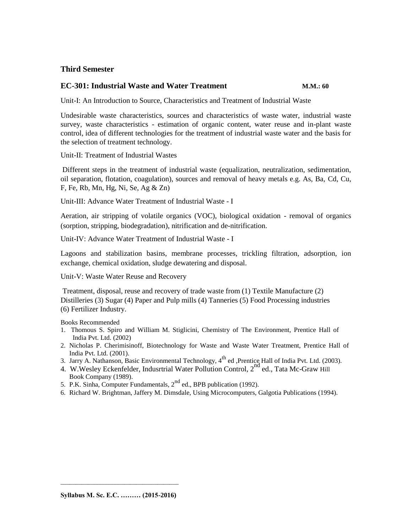# **Third Semester**

### **EC-301: Industrial Waste and Water Treatment M.M.: 60**

Unit-I: An Introduction to Source, Characteristics and Treatment of Industrial Waste

Undesirable waste characteristics, sources and characteristics of waste water, industrial waste survey, waste characteristics - estimation of organic content, water reuse and in-plant waste control, idea of different technologies for the treatment of industrial waste water and the basis for the selection of treatment technology.

Unit-II: Treatment of Industrial Wastes

Different steps in the treatment of industrial waste (equalization, neutralization, sedimentation, oil separation, flotation, coagulation), sources and removal of heavy metals e.g. As, Ba, Cd, Cu, F, Fe, Rb, Mn, Hg, Ni, Se, Ag & Zn)

Unit-III: Advance Water Treatment of Industrial Waste - I

Aeration, air stripping of volatile organics (VOC), biological oxidation - removal of organics (sorption, stripping, biodegradation), nitrification and de-nitrification.

Unit-IV: Advance Water Treatment of Industrial Waste - I

Lagoons and stabilization basins, membrane processes, trickling filtration, adsorption, ion exchange, chemical oxidation, sludge dewatering and disposal.

Unit-V: Waste Water Reuse and Recovery

Treatment, disposal, reuse and recovery of trade waste from (1) Textile Manufacture (2) Distilleries (3) Sugar (4) Paper and Pulp mills (4) Tanneries (5) Food Processing industries (6) Fertilizer Industry.

Books Recommended

- 1. Thomous S. Spiro and William M. Stiglicini, Chemistry of The Environment, Prentice Hall of India Pvt. Ltd. (2002)
- 2. Nicholas P. Cherimisinoff, Biotechnology for Waste and Waste Water Treatment, Prentice Hall of India Pvt. Ltd. (2001).
- 3. Jarry A. Nathanson, Basic Environmental Technology,  $4^{\text{th}}$  ed ,Prentice Hall of India Pvt. Ltd. (2003).
- 4. W. Wesley Eckenfelder, Indusrtrial Water Pollution Control, 2<sup>nd</sup> ed., Tata Mc-Graw Hill Book Company (1989).
- 5. P.K. Sinha, Computer Fundamentals, 2<sup>nd</sup> ed., BPB publication (1992).
- 6. Richard W. Brightman, Jaffery M. Dimsdale, Using Microcomputers, Galgotia Publications (1994).

\_\_\_\_\_\_\_\_\_\_\_\_\_\_\_\_\_\_\_\_\_\_\_\_\_\_\_\_\_\_\_\_\_\_\_\_\_\_\_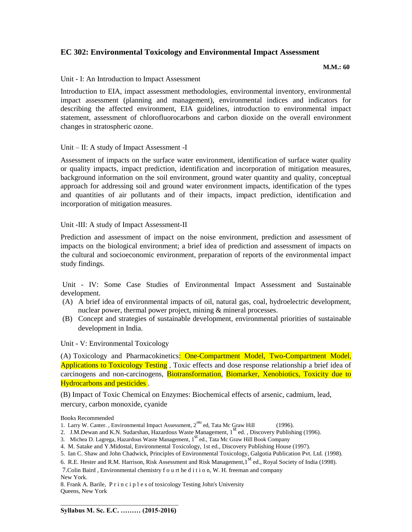# **EC 302: Environmental Toxicology and Environmental Impact Assessment**

 **M.M.: 60**

Unit - I: An Introduction to Impact Assessment

Introduction to EIA, impact assessment methodologies, environmental inventory, environmental impact assessment (planning and management), environmental indices and indicators for describing the affected environment, EIA guidelines, introduction to environmental impact statement, assessment of chlorofluorocarbons and carbon dioxide on the overall environment changes in stratospheric ozone.

#### Unit – II: A study of Impact Assessment -I

Assessment of impacts on the surface water environment, identification of surface water quality or quality impacts, impact prediction, identification and incorporation of mitigation measures, background information on the soil environment, ground water quantity and quality, conceptual approach for addressing soil and ground water environment impacts, identification of the types and quantities of air pollutants and of their impacts, impact prediction, identification and incorporation of mitigation measures.

#### Unit -III: A study of Impact Assessment-II

Prediction and assessment of impact on the noise environment, prediction and assessment of impacts on the biological environment; a brief idea of prediction and assessment of impacts on the cultural and socioeconomic environment, preparation of reports of the environmental impact study findings.

Unit - IV: Some Case Studies of Environmental Impact Assessment and Sustainable development.

- (A) A brief idea of environmental impacts of oil, natural gas, coal, hydroelectric development, nuclear power, thermal power project, mining & mineral processes.
- (B) Concept and strategies of sustainable development, environmental priorities of sustainable development in India.

Unit - V: Environmental Toxicology

(A) Toxicology and Pharmacokinetics: One-Compartment Model, Two-Compartment Model, Applications to Toxicology Testing, Toxic effects and dose response relationship a brief idea of carcinogens and non-carcinogens, Biotransformation, Biomarker, Xenobiotics, Toxicity due to Hydrocarbons and pesticides .

(B) Impact of Toxic Chemical on Enzymes: Biochemical effects of arsenic, cadmium, lead, mercury, carbon monoxide, cyanide

Books Recommended

- 2. J.M.Dewan and K.N. Sudarshan, Hazardous Waste Management, 1<sup>st</sup> ed., Discovery Publishing (1996).
- 3. Michea D. Lagrega, Hazardous Waste Management, 1<sup>st</sup> ed., Tata Mc Graw Hill Book Company
- 4. M. Satake and Y.Midostal, Environmental Toxicology, 1st ed., Discovery Publishing House (1997).
- 5. Ian C. Shaw and John Chadwick, Principles of Environmental Toxicology, Galgotia Publication Pvt. Ltd. (1998).

7.Colin Baird , Environmental chemistry f o u rt he d i t i o n, W. H. freeman and company

New York.

8. Frank A. Barile, P r i n c i p l e s of toxicology Testing John's University Queens, New York

<sup>1.</sup> Larry W. Canter. , Environmental Impact Assessment,  $2^{na}$  ed, Tata Mc Graw Hill (1996).

<sup>6.</sup> R.E. Hester and R.M. Harrison, Risk Assessment and Risk Management, 1<sup>st</sup> ed., Royal Society of India (1998).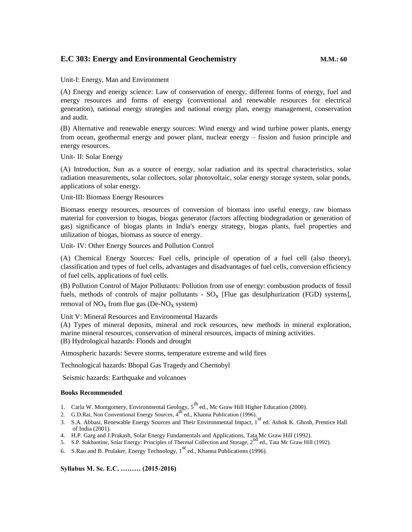# **E.C 303: Energy and Environmental Geochemistry M.M.: 60**

Unit-I: Energy, Man and Environment

(A) Energy and energy science: Law of conservation of energy, different forms of energy, fuel and energy resources and forms of energy (conventional and renewable resources for electrical generation), national energy strategies and national energy plan, energy management, conservation and audit.

(B) Alternative and renewable energy sources: Wind energy and wind turbine power plants, energy from ocean, geothermal energy and power plant, nuclear energy – fission and fusion principle and energy resources.

Unit- II: Solar Energy

(A) Introduction, Sun as a source of energy, solar radiation and its spectral characteristics, solar radiation measurements, solar collectors, solar photovoltaic, solar energy storage system, solar ponds, applications of solar energy.

Unit-III: Biomass Energy Resources

Biomass energy resources, resources of conversion of biomass into useful energy, raw biomass material for conversion to biogas, biogas generator (factors affecting biodegradation or generation of gas) significance of biogas plants in India's energy strategy, biogas plants, fuel properties and utilization of biogas, biomass as source of energy.

Unit- IV: Other Energy Sources and Pollution Control

(A) Chemical Energy Sources: Fuel cells, principle of operation of a fuel cell (also theory), classification and types of fuel cells, advantages and disadvantages of fuel cells, conversion efficiency of fuel cells, applications of fuel cells.

(B) Pollution Control of Major Pollutants: Pollution from use of energy: combustion products of fossil fuels, methods of controls of major pollutants -  $SO_x$  [Flue gas desulphurization (FGD) systems], removal of  $NO_x$  from flue gas (De- $NO_x$  system)

Unit V: Mineral Resources and Environmental Hazards

(A) Types of mineral deposits, mineral and rock resources, new methods in mineral exploration, marine mineral resources, conservation of mineral resources, impacts of mining activities. (B) Hydrological hazards: Floods and drought

Atmospheric hazards: Severe storms, temperature extreme and wild fires

Technological hazards: Bhopal Gas Tragedy and Chernobyl

Seismic hazards: Earthquake and volcanoes

#### **Books Recommended**

- 1. Carla W. Montgomery, Environmental Geology,  $5<sup>th</sup>$  ed., Mc Graw Hill Higher Education (2000).
- 2. G.D.Rai, Non Conventional Energy Sources, 4<sup>th</sup> ed., Khanna Publication (1996).
- 3. S.A. Abbasi, Renewable Energy Sources and Their Environmental Impact, 1<sup>st</sup> ed. Ashok K. Ghosh, Prentice Hall of India (2001).
- 4. H.P. Garg and J.Prakash, Solar Energy Fundamentals and Applications, Tata Mc Graw Hill (1992).
- 5. S.P. Sukhantine, Solar Energy: Principles of Thermal Collection and Storage,  $2^{nd}$  ed., Tata Mc Graw Hill (1992).
- 6. S.Rao and B. Prulaker, Energy Technology,  $1<sup>st</sup>$  ed., Khanna Publications (1996).

**Syllabus M. Sc. E.C. ……… (2015-2016)**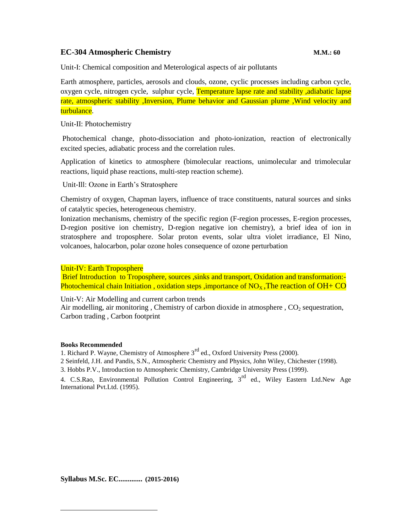# **EC-304 Atmospheric Chemistry M.M.: 60**

Unit-I: Chemical composition and Meterological aspects of air pollutants

Earth atmosphere, particles, aerosols and clouds, ozone, cyclic processes including carbon cycle, oxygen cycle, nitrogen cycle, sulphur cycle, Temperature lapse rate and stability ,adiabatic lapse rate, atmospheric stability ,Inversion, Plume behavior and Gaussian plume ,Wind velocity and turbulance.

#### Unit-II: Photochemistry

Photochemical change, photo-dissociation and photo-ionization, reaction of electronically excited species, adiabatic process and the correlation rules.

Application of kinetics to atmosphere (bimolecular reactions, unimolecular and trimolecular reactions, liquid phase reactions, multi-step reaction scheme).

Unit-Ill: Ozone in Earth's Stratosphere

Chemistry of oxygen, Chapman layers, influence of trace constituents, natural sources and sinks of catalytic species, heterogeneous chemistry.

Ionization mechanisms, chemistry of the specific region (F-region processes, E-region processes, D-region positive ion chemistry, D-region negative ion chemistry), a brief idea of ion in stratosphere and troposphere. Solar proton events, solar ultra violet irradiance, El Nino, volcanoes, halocarbon, polar ozone holes consequence of ozone perturbation

Unit-IV: Earth Troposphere

Brief Introduction to Troposphere, sources , sinks and transport, Oxidation and transformation:-Photochemical chain Initiation, oxidation steps, importance of  $NO<sub>x</sub>$ , The reaction of  $OH+CO$ 

Unit-V: Air Modelling and current carbon trends

Air modelling, air monitoring, Chemistry of carbon dioxide in atmosphere,  $CO<sub>2</sub>$  sequestration, Carbon trading , Carbon footprint

#### **Books Recommended**

1. Richard P. Wayne, Chemistry of Atmosphere 3<sup>rd</sup> ed., Oxford University Press (2000).

2 Seinfeld, J.H. and Pandis, S.N., Atmospheric Chemistry and Physics, John Wiley, Chichester (1998).

3. Hobbs P.V., Introduction to Atmospheric Chemistry, Cambridge University Press (1999).

4. C.S.Rao, Environmental Pollution Control Engineering, 3<sup>rd</sup> ed., Wiley Eastern Ltd.New Age International Pvt.Ltd. (1995).

**Syllabus M.Sc. EC............. (2015-2016)**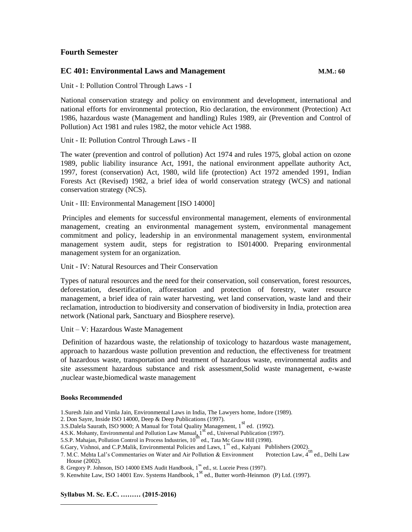# **Fourth Semester**

### **EC 401: Environmental Laws and Management M.M.: 60**

Unit - I: Pollution Control Through Laws - I

National conservation strategy and policy on environment and development, international and national efforts for environmental protection, Rio declaration, the environment (Protection) Act 1986, hazardous waste (Management and handling) Rules 1989, air (Prevention and Control of Pollution) Act 1981 and rules 1982, the motor vehicle Act 1988.

Unit - II: Pollution Control Through Laws - II

The water (prevention and control of pollution) Act 1974 and rules 1975, global action on ozone 1989, public liability insurance Act, 1991, the national environment appellate authority Act, 1997, forest (conservation) Act, 1980, wild life (protection) Act 1972 amended 1991, Indian Forests Act (Revised) 1982, a brief idea of world conservation strategy (WCS) and national conservation strategy (NCS).

Unit - III: Environmental Management [ISO 14000]

Principles and elements for successful environmental management, elements of environmental management, creating an environmental management system, environmental management commitment and policy, leadership in an environmental management system, environmental management system audit, steps for registration to IS014000. Preparing environmental management system for an organization.

#### Unit - IV: Natural Resources and Their Conservation

Types of natural resources and the need for their conservation, soil conservation, forest resources, deforestation, desertification, afforestation and protection of forestry, water resource management, a brief idea of rain water harvesting, wet land conservation, waste land and their reclamation, introduction to biodiversity and conservation of biodiversity in India, protection area network (National park, Sanctuary and Biosphere reserve).

Unit – V: Hazardous Waste Management

Definition of hazardous waste, the relationship of toxicology to hazardous waste management, approach to hazardous waste pollution prevention and reduction, the effectiveness for treatment of hazardous waste, transportation and treatment of hazardous waste, environmental audits and site assessment hazardous substance and risk assessment,Solid waste management, e-waste ,nuclear waste,biomedical waste management

#### **Books Recommended**

- 1.Suresh Jain and Vimla Jain, Environmental Laws in India, The Lawyers home, Indore (1989).
- 2. Don Sayre, Inside ISO 14000, Deep & Deep Publications (1997).
- 2. Bon Bayle, inside 150 14000, Beep & Beep I done alons (1997).<br>3.S.Dalela Saurath, ISO 9000; A Manual for Total Quality Management, 1<sup>st</sup> ed. (1992).
- 4.S.K. Mohanty, Environmental and Pollution Law Manual, 1<sup>st</sup> ed., Universal Publication (1997).
- 5.S.P. Mahajan, Pollution Control in Process Industries,  $10^{th}$  ed., Tata Mc Graw Hill (1998).
- 6.Gary, Vishnoi, and C.P.Malik, Environmental Policies and Laws,  $1^{st}$  ed., Kalyani Publishers (2002).<br>7. M.C. Mehta Lal's Commentaries on Water and Air Pollution & Environment Protection Law, 4<sup>th</sup> ed., Delhi Law
- 7. M.C. Mehta Lal's Commentaries on Water and Air Pollution & Environment House (2002).
- 8. Gregory P. Johnson, ISO 14000 EMS Audit Handbook, 1<sup>st</sup> ed., st. Luceie Press (1997).
- 9. Kenwhite Law, ISO 14001 Env. Systems Handbook,  $1^{st}$  ed., Butter worth-Heinmon (P) Ltd. (1997).

**Syllabus M. Sc. E.C. ……… (2015-2016)**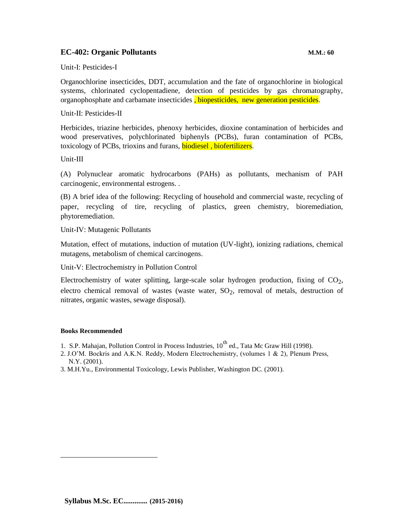# **EC-402: Organic Pollutants M.M.: 60**

Unit-I: Pesticides-I

Organochlorine insecticides, DDT, accumulation and the fate of organochlorine in biological systems, chlorinated cyclopentadiene, detection of pesticides by gas chromatography, organophosphate and carbamate insecticides, biopesticides, new generation pesticides.

Unit-II: Pesticides-II

Herbicides, triazine herbicides, phenoxy herbicides, dioxine contamination of herbicides and wood preservatives, polychlorinated biphenyls (PCBs), furan contamination of PCBs, toxicology of PCBs, trioxins and furans, **biodiesel**, **biofertilizers**.

Unit-III

(A) Polynuclear aromatic hydrocarbons (PAHs) as pollutants, mechanism of PAH carcinogenic, environmental estrogens. .

(B) A brief idea of the following: Recycling of household and commercial waste, recycling of paper, recycling of tire, recycling of plastics, green chemistry, bioremediation, phytoremediation.

Unit-IV: Mutagenic Pollutants

Mutation, effect of mutations, induction of mutation (UV-light), ionizing radiations, chemical mutagens, metabolism of chemical carcinogens.

Unit-V: Electrochemistry in Pollution Control

Electrochemistry of water splitting, large-scale solar hydrogen production, fixing of  $CO<sub>2</sub>$ , electro chemical removal of wastes (waste water,  $SO_2$ , removal of metals, destruction of nitrates, organic wastes, sewage disposal).

#### **Books Recommended**

- 1. S.P. Mahajan, Pollution Control in Process Industries,  $10^{th}$  ed., Tata Mc Graw Hill (1998).
- 2. J.O'M. Bockris and A.K.N. Reddy, Modern Electrochemistry, (volumes 1 & 2), Plenum Press, N.Y. (2001).
- 3. M.H.Yu., Environmental Toxicology, Lewis Publisher, Washington DC. (2001).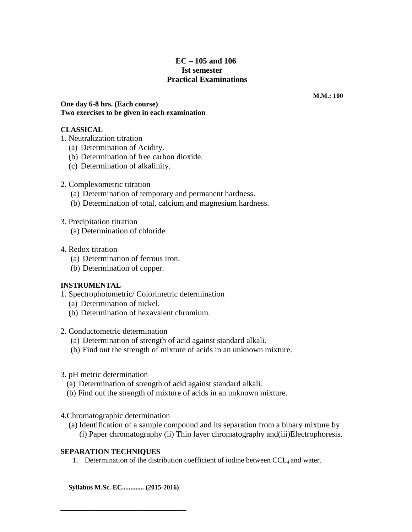# **EC – 105 and 106 Ist semester Practical Examinations**

**M.M.: 100**

**One day 6-8 hrs. (Each course) Two exercises to be given in each examination**

# **CLASSICAL**

- 1. Neutralization titration
	- (a) Determination of Acidity.
	- (b) Determination of free carbon dioxide.
	- (c) Determination of alkalinity.
- 2. Complexometric titration
	- (a) Determination of temporary and permanent hardness.
	- (b) Determination of total, calcium and magnesium hardness.
- 3. Precipitation titration

(a) Determination of chloride.

- 4. Redox titration
	- (a) Determination of ferrous iron.
	- (b) Determination of copper.

# **INSTRUMENTAL**

- 1. Spectrophotometric/ Colorimetric determination
	- (a) Determination of nickel.
	- (b) Determination of hexavalent chromium.

### 2. Conductometric determination

- (a) Determination of strength of acid against standard alkali.
- (b) Find out the strength of mixture of acids in an unknown mixture.
- 3. pH metric determination
	- (a) Determination of strength of acid against standard alkali.
	- (b) Find out the strength of mixture of acids in an unknown mixture.

4.Chromatographic determination

(a) Identification of a sample compound and its separation from a binary mixture by (i) Paper chromatography (ii) Thin layer chromatography and(iii)Electrophoresis.

### **SEPARATION TECHNIQUES**

1. Determination of the distribution coefficient of iodine between  $CCL_4$  and water.

**Syllabus M.Sc. EC............. (2015-2016)**

\_\_\_\_\_\_\_\_\_\_\_\_\_\_\_\_\_\_\_\_\_\_\_\_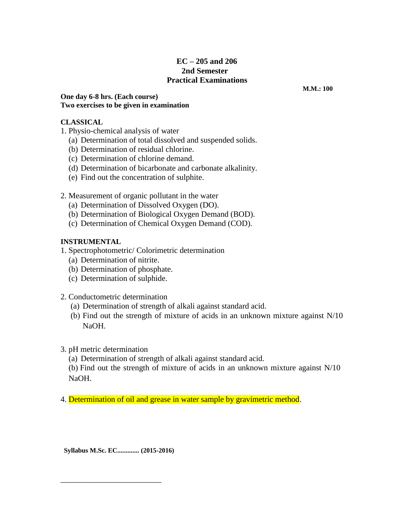# **EC – 205 and 206 2nd Semester Practical Examinations**

**One day 6-8 hrs. (Each course) Two exercises to be given in examination**

# **CLASSICAL**

- 1. Physio-chemical analysis of water
	- (a) Determination of total dissolved and suspended solids.
	- (b) Determination of residual chlorine.
	- (c) Determination of chlorine demand.
	- (d) Determination of bicarbonate and carbonate alkalinity.
	- (e) Find out the concentration of sulphite.

# 2. Measurement of organic pollutant in the water

- (a) Determination of Dissolved Oxygen (DO).
- (b) Determination of Biological Oxygen Demand (BOD).
- (c) Determination of Chemical Oxygen Demand (COD).

# **INSTRUMENTAL**

- 1. Spectrophotometric/ Colorimetric determination
	- (a) Determination of nitrite.
	- (b) Determination of phosphate.
	- (c) Determination of sulphide.
- 2. Conductometric determination
	- (a) Determination of strength of alkali against standard acid.
	- (b) Find out the strength of mixture of acids in an unknown mixture against N/10 NaOH.
- 3. pH metric determination
	- (a) Determination of strength of alkali against standard acid.

(b) Find out the strength of mixture of acids in an unknown mixture against N/10 NaOH.

4. Determination of oil and grease in water sample by gravimetric method.

**Syllabus M.Sc. EC............. (2015-2016)**

\_\_\_\_\_\_\_\_\_\_\_\_\_\_\_\_\_\_\_\_\_\_\_\_\_

**M.M.: 100**